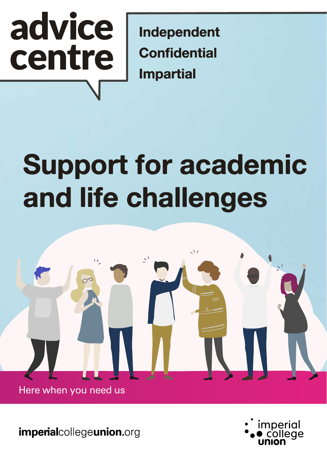# advice centre

Independent **Confidential Impartial** 

## **Support for academic and life challenges**



imperialcollegeunion.org

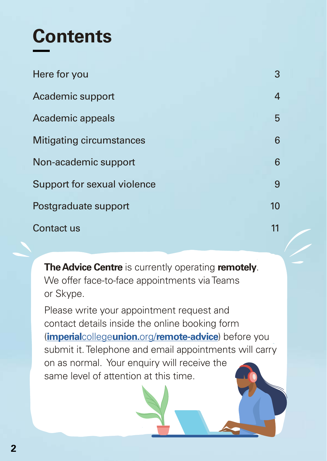### **Contents**

| Here for you                | 3                |
|-----------------------------|------------------|
| Academic support            | 4                |
| Academic appeals            | 5                |
| Mitigating circumstances    | 6                |
| Non-academic support        | 6                |
| Support for sexual violence | 9                |
| Postgraduate support        | 10 <sup>10</sup> |
| Contact us                  | 11               |

**The Advice Centre** is currently operating **remotely**. We offer face-to-face appointments via Teams or Skype.

Please write your appointment request and contact details inside the online booking form (**imperial**college**union.**org/**[remote-advice](http://imperialcollegeunion.org/remote-advice)**) before you submit it. Telephone and email appointments will carry on as normal. Your enquiry will receive the same level of attention at this time.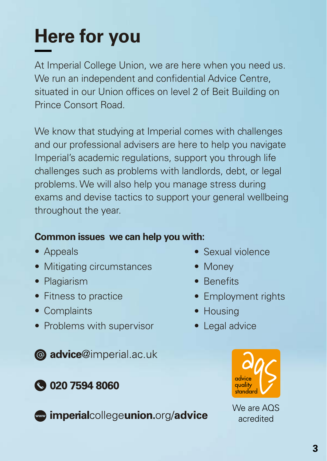### **Here for you**

At Imperial College Union, we are here when you need us. We run an independent and confidential Advice Centre, situated in our Union offices on level 2 of Beit Building on Prince Consort Road.

We know that studying at Imperial comes with challenges and our professional advisers are here to help you navigate Imperial's academic regulations, support you through life challenges such as problems with landlords, debt, or legal problems. We will also help you manage stress during exams and devise tactics to support your general wellbeing throughout the year.

#### **Common issues we can help you with:**

- Appeals
- Mitigating circumstances
- Plagiarism
- Fitness to practice
- Complaints
- Problems with supervisor

**@** advice@imperial.ac.uk

#### **3 020 7594 8060**

mperialcollegeunion.org/advice

- Sexual violence
- Money
- Benefits
- Employment rights
- Housing
- Legal advice



We are AQS acredited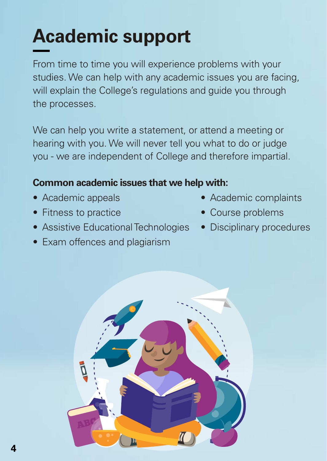### **Academic support**

From time to time you will experience problems with your studies. We can help with any academic issues you are facing, will explain the College's regulations and guide you through the processes.

We can help you write a statement, or attend a meeting or hearing with you. We will never tell you what to do or judge you - we are independent of College and therefore impartial.

#### **Common academic issues that we help with:**

- Academic appeals
- Fitness to practice
- Assistive Educational Technologies
- Exam offences and plagiarism
- Academic complaints
- Course problems
- Disciplinary procedures

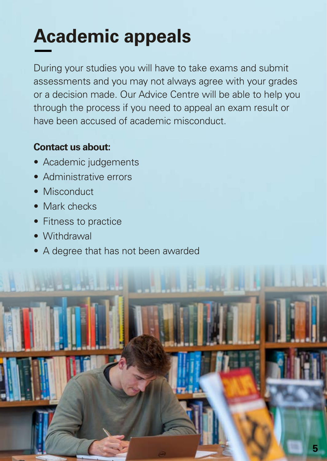### **Academic appeals**

During your studies you will have to take exams and submit assessments and you may not always agree with your grades or a decision made. Our Advice Centre will be able to help you through the process if you need to appeal an exam result or have been accused of academic misconduct.

#### **Contact us about:**

- Academic judgements
- Administrative errors
- Misconduct
- Mark checks
- Fitness to practice
- Withdrawal
- A degree that has not been awarded

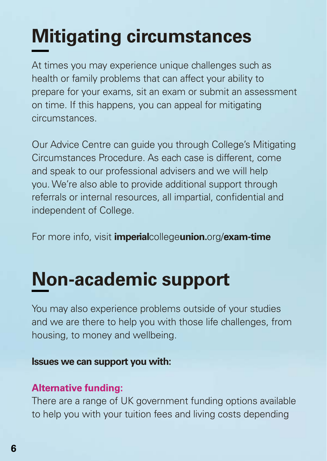### **Mitigating circumstances**

At times you may experience unique challenges such as health or family problems that can affect your ability to prepare for your exams, sit an exam or submit an assessment on time. If this happens, you can appeal for mitigating circumstances.

Our Advice Centre can guide you through College's Mitigating Circumstances Procedure. As each case is different, come and speak to our professional advisers and we will help you. We're also able to provide additional support through referrals or internal resources, all impartial, confidential and independent of College.

For more info, visit **imperial**college**union.**org/**exam-time**

### **Non-academic support**

You may also experience problems outside of your studies and we are there to help you with those life challenges, from housing, to money and wellbeing.

#### **Issues we can support you with:**

#### **Alternative funding:**

There are a range of UK government funding options available to help you with your tuition fees and living costs depending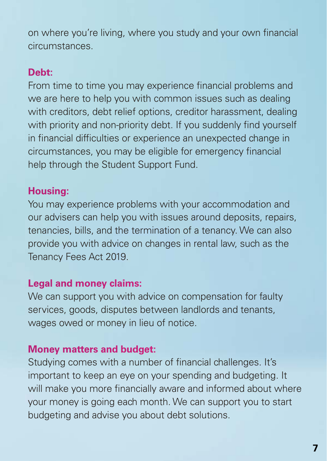on where you're living, where you study and your own financial circumstances.

#### **Debt:**

From time to time you may experience financial problems and we are here to help you with common issues such as dealing with creditors, debt relief options, creditor harassment, dealing with priority and non-priority debt. If you suddenly find yourself in financial difficulties or experience an unexpected change in circumstances, you may be eligible for emergency financial help through the Student Support Fund.

#### **Housing:**

You may experience problems with your accommodation and our advisers can help you with issues around deposits, repairs, tenancies, bills, and the termination of a tenancy. We can also provide you with advice on changes in rental law, such as the Tenancy Fees Act 2019.

#### **Legal and money claims:**

We can support you with advice on compensation for faulty services, goods, disputes between landlords and tenants, wages owed or money in lieu of notice.

#### **Money matters and budget:**

Studying comes with a number of financial challenges. It's important to keep an eye on your spending and budgeting. It will make you more financially aware and informed about where your money is going each month. We can support you to start budgeting and advise you about debt solutions.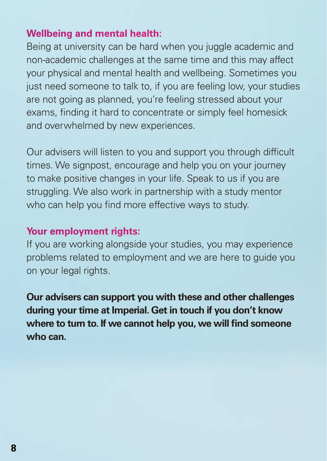#### **Wellbeing and mental health:**

Being at university can be hard when you juggle academic and non-academic challenges at the same time and this may affect your physical and mental health and wellbeing. Sometimes you just need someone to talk to, if you are feeling low, your studies are not going as planned, you're feeling stressed about your exams, finding it hard to concentrate or simply feel homesick and overwhelmed by new experiences.

Our advisers will listen to you and support you through difficult times. We signpost, encourage and help you on your journey to make positive changes in your life. Speak to us if you are struggling. We also work in partnership with a study mentor who can help you find more effective ways to study.

#### **Your employment rights:**

If you are working alongside your studies, you may experience problems related to employment and we are here to guide you on your legal rights.

**Our advisers can support you with these and other challenges during your time at Imperial. Get in touch if you don't know where to turn to. If we cannot help you, we will find someone who can.**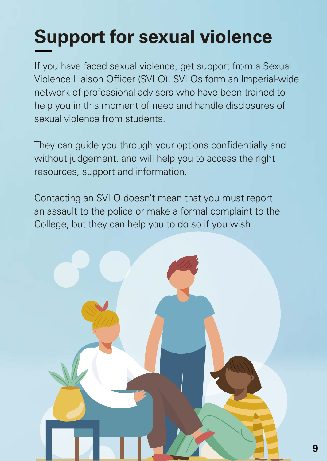### **Support for sexual violence**

If you have faced sexual violence, get support from a Sexual Violence Liaison Officer (SVLO). SVLOs form an Imperial-wide network of professional advisers who have been trained to help you in this moment of need and handle disclosures of sexual violence from students.

They can guide you through your options confidentially and without judgement, and will help you to access the right resources, support and information.

Contacting an SVLO doesn't mean that you must report an assault to the police or make a formal complaint to the College, but they can help you to do so if you wish.

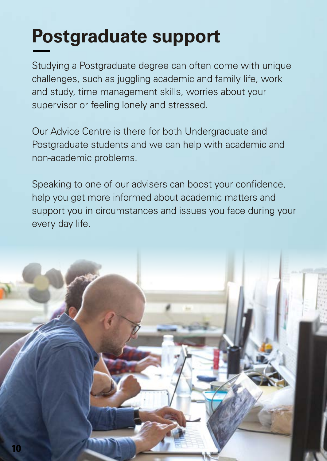### **Postgraduate support**

Studying a Postgraduate degree can often come with unique challenges, such as juggling academic and family life, work and study, time management skills, worries about your supervisor or feeling lonely and stressed.

Our Advice Centre is there for both Undergraduate and Postgraduate students and we can help with academic and non-academic problems.

Speaking to one of our advisers can boost your confidence, help you get more informed about academic matters and support you in circumstances and issues you face during your every day life.

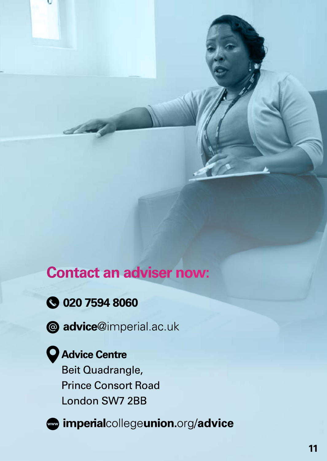#### **Contact an adviser now:**

- **3 020 7594 8060**
- 
- @ advice@imperial.ac.uk

#### Advice Centre

Beit Quadrangle, **Prince Consort Road** London SW7 2BB



mperialcollegeunion.org/advice